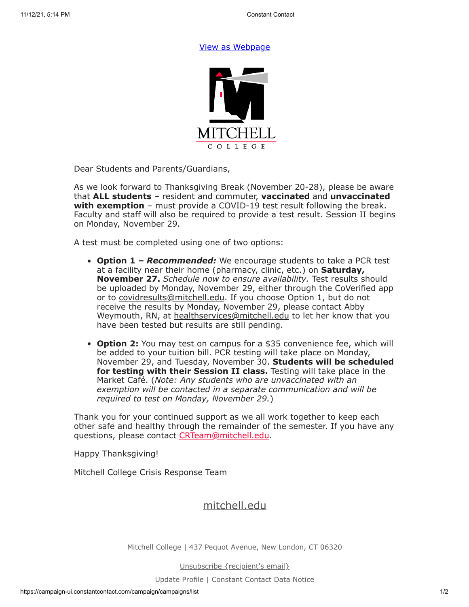## [View as Webpage](https://campaignlp.constantcontact.com/em/1119223208753/13324f22-d643-4da2-ae2e-0a991aaf0768)



Dear Students and Parents/Guardians,

As we look forward to Thanksgiving Break (November 20-28), please be aware that **ALL students** – resident and commuter, **vaccinated** and **unvaccinated with exemption** – must provide a COVID-19 test result following the break. Faculty and staff will also be required to provide a test result. Session II begins on Monday, November 29.

A test must be completed using one of two options:

- **Option 1** *Recommended:* We encourage students to take a PCR test at a facility near their home (pharmacy, clinic, etc.) on **Saturday, November 27.** *Schedule now to ensure availability.* Test results should be uploaded by Monday, November 29, either through the CoVerified app or to [covidresults@mitchell.edu](mailto:covidresults@mitchell.edu). If you choose Option 1, but do not receive the results by Monday, November 29, please contact Abby Weymouth, RN, at [healthservices@mitchell.edu](mailto:healthservices@mitchell.edu) to let her know that you have been tested but results are still pending.
- **Option 2:** You may test on campus for a \$35 convenience fee, which will be added to your tuition bill. PCR testing will take place on Monday, November 29, and Tuesday, November 30. **Students will be scheduled for testing with their Session II class.** Testing will take place in the Market Café. (*Note: Any students who are unvaccinated with an exemption will be contacted in a separate communication and will be required to test on Monday, November 29.*)

Thank you for your continued support as we all work together to keep each other safe and healthy through the remainder of the semester. If you have any questions, please contact [CRTeam@mitchell.edu.](mailto:CRTeam@mitchell.edu)

Happy Thanksgiving!

Mitchell College Crisis Response Team

## [mitchell.edu](https://mitchell.edu/)

Mitchell College | 437 Pequot Avenue, New London, CT 06320

Unsubscribe {recipient's email}

Update Profile | [Constant Contact Data Notice](https://www.constantcontact.com/legal/customer-contact-data-notice)